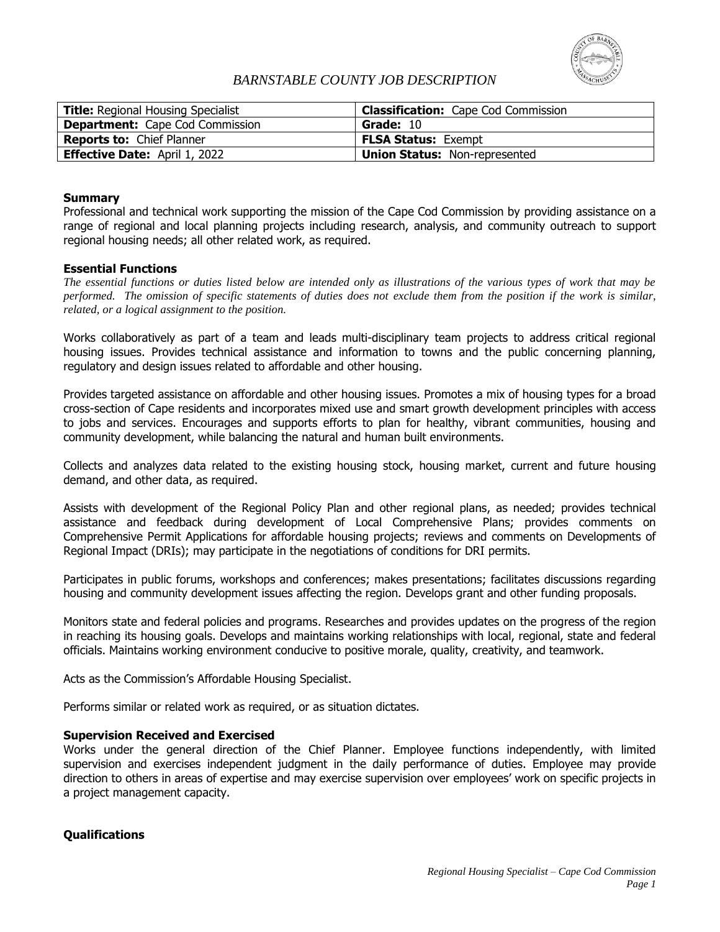

# *BARNSTABLE COUNTY JOB DESCRIPTION*

| <b>Title:</b> Regional Housing Specialist | <b>Classification:</b> Cape Cod Commission |
|-------------------------------------------|--------------------------------------------|
| <b>Department:</b> Cape Cod Commission    | Grade: 10                                  |
| <b>Reports to: Chief Planner</b>          | <b>FLSA Status: Exempt</b>                 |
| <b>Effective Date:</b> April 1, 2022      | <b>Union Status: Non-represented</b>       |

### **Summary**

Professional and technical work supporting the mission of the Cape Cod Commission by providing assistance on a range of regional and local planning projects including research, analysis, and community outreach to support regional housing needs; all other related work, as required.

### **Essential Functions**

*The essential functions or duties listed below are intended only as illustrations of the various types of work that may be performed. The omission of specific statements of duties does not exclude them from the position if the work is similar, related, or a logical assignment to the position.*

Works collaboratively as part of a team and leads multi-disciplinary team projects to address critical regional housing issues. Provides technical assistance and information to towns and the public concerning planning, regulatory and design issues related to affordable and other housing.

Provides targeted assistance on affordable and other housing issues. Promotes a mix of housing types for a broad cross-section of Cape residents and incorporates mixed use and smart growth development principles with access to jobs and services. Encourages and supports efforts to plan for healthy, vibrant communities, housing and community development, while balancing the natural and human built environments.

Collects and analyzes data related to the existing housing stock, housing market, current and future housing demand, and other data, as required.

Assists with development of the Regional Policy Plan and other regional plans, as needed; provides technical assistance and feedback during development of Local Comprehensive Plans; provides comments on Comprehensive Permit Applications for affordable housing projects; reviews and comments on Developments of Regional Impact (DRIs); may participate in the negotiations of conditions for DRI permits.

Participates in public forums, workshops and conferences; makes presentations; facilitates discussions regarding housing and community development issues affecting the region. Develops grant and other funding proposals.

Monitors state and federal policies and programs. Researches and provides updates on the progress of the region in reaching its housing goals. Develops and maintains working relationships with local, regional, state and federal officials. Maintains working environment conducive to positive morale, quality, creativity, and teamwork.

Acts as the Commission's Affordable Housing Specialist.

Performs similar or related work as required, or as situation dictates.

#### **Supervision Received and Exercised**

Works under the general direction of the Chief Planner. Employee functions independently, with limited supervision and exercises independent judgment in the daily performance of duties. Employee may provide direction to others in areas of expertise and may exercise supervision over employees' work on specific projects in a project management capacity.

## **Qualifications**